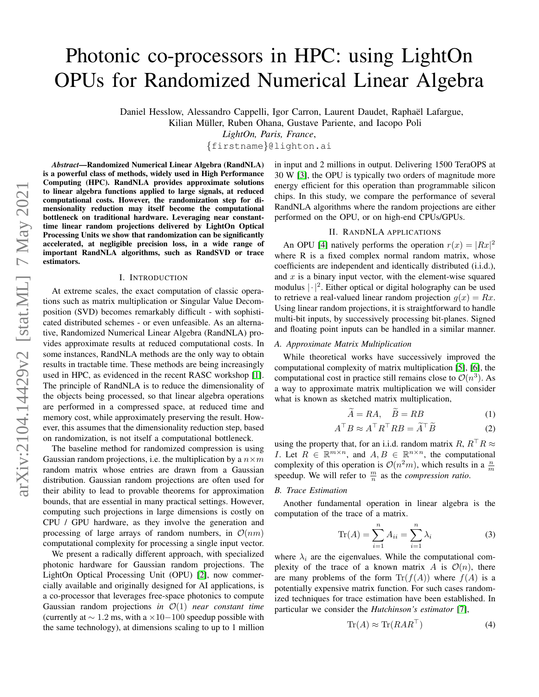# Photonic co-processors in HPC: using LightOn OPUs for Randomized Numerical Linear Algebra

Daniel Hesslow, Alessandro Cappelli, Igor Carron, Laurent Daudet, Raphaël Lafargue,

Kilian Müller, Ruben Ohana, Gustave Pariente, and Iacopo Poli

*LightOn, Paris, France*,

{firstname}@lighton.ai

*Abstract*—Randomized Numerical Linear Algebra (RandNLA) is a powerful class of methods, widely used in High Performance Computing (HPC). RandNLA provides approximate solutions to linear algebra functions applied to large signals, at reduced computational costs. However, the randomization step for dimensionality reduction may itself become the computational bottleneck on traditional hardware. Leveraging near constanttime linear random projections delivered by LightOn Optical Processing Units we show that randomization can be significantly accelerated, at negligible precision loss, in a wide range of important RandNLA algorithms, such as RandSVD or trace estimators.

#### I. INTRODUCTION

At extreme scales, the exact computation of classic operations such as matrix multiplication or Singular Value Decomposition (SVD) becomes remarkably difficult - with sophisticated distributed schemes - or even unfeasible. As an alternative, Randomized Numerical Linear Algebra (RandNLA) provides approximate results at reduced computational costs. In some instances, RandNLA methods are the only way to obtain results in tractable time. These methods are being increasingly used in HPC, as evidenced in the recent RASC workshop [\[1\]](#page-1-0). The principle of RandNLA is to reduce the dimensionality of the objects being processed, so that linear algebra operations are performed in a compressed space, at reduced time and memory cost, while approximately preserving the result. However, this assumes that the dimensionality reduction step, based on randomization, is not itself a computational bottleneck.

The baseline method for randomized compression is using Gaussian random projections, i.e. the multiplication by a  $n \times m$ random matrix whose entries are drawn from a Gaussian distribution. Gaussian random projections are often used for their ability to lead to provable theorems for approximation bounds, that are essential in many practical settings. However, computing such projections in large dimensions is costly on CPU / GPU hardware, as they involve the generation and processing of large arrays of random numbers, in  $\mathcal{O}(nm)$ computational complexity for processing a single input vector.

We present a radically different approach, with specialized photonic hardware for Gaussian random projections. The LightOn Optical Processing Unit (OPU) [\[2\]](#page-1-1), now commercially available and originally designed for AI applications, is a co-processor that leverages free-space photonics to compute Gaussian random projections *in* O(1) *near constant time* (currently at  $\sim 1.2$  ms, with a  $\times 10-100$  speedup possible with the same technology), at dimensions scaling to up to 1 million in input and 2 millions in output. Delivering 1500 TeraOPS at 30 W [\[3\]](#page-1-2), the OPU is typically two orders of magnitude more energy efficient for this operation than programmable silicon chips. In this study, we compare the performance of several RandNLA algorithms where the random projections are either performed on the OPU, or on high-end CPUs/GPUs.

## II. RANDNLA APPLICATIONS

An OPU [\[4\]](#page-1-3) natively performs the operation  $r(x) = |Rx|^2$ where R is a fixed complex normal random matrix, whose coefficients are independent and identically distributed (i.i.d.), and  $x$  is a binary input vector, with the element-wise squared modulus  $|\cdot|^2$ . Either optical or digital holography can be used to retrieve a real-valued linear random projection  $q(x) = Rx$ . Using linear random projections, it is straightforward to handle multi-bit inputs, by successively processing bit-planes. Signed and floating point inputs can be handled in a similar manner.

### *A. Approximate Matrix Multiplication*

While theoretical works have successively improved the computational complexity of matrix multiplication [\[5\]](#page-1-4), [\[6\]](#page-1-5), the computational cost in practice still remains close to  $\mathcal{O}(n^3)$ . As a way to approximate matrix multiplication we will consider what is known as sketched matrix multiplication,

$$
\widetilde{A} = RA, \quad \widetilde{B} = RB \tag{1}
$$

$$
A^{\top} B \approx A^{\top} R^{\top} R B = \widetilde{A}^{\top} \widetilde{B}
$$
 (2)

using the property that, for an i.i.d. random matrix  $R, R^{\top}R \approx$ *I*. Let  $R \in \mathbb{R}^{m \times n}$ , and  $A, B \in \mathbb{R}^{n \times n}$ , the computational complexity of this operation is  $\mathcal{O}(n^2m)$ , which results in a  $\frac{n}{m}$ speedup. We will refer to  $\frac{m}{n}$  as the *compression ratio*.

#### *B. Trace Estimation*

Another fundamental operation in linear algebra is the computation of the trace of a matrix.

$$
\text{Tr}(A) = \sum_{i=1}^{n} A_{ii} = \sum_{i=1}^{n} \lambda_i
$$
 (3)

where  $\lambda_i$  are the eigenvalues. While the computational complexity of the trace of a known matrix A is  $\mathcal{O}(n)$ , there are many problems of the form  $\text{Tr}(f(A))$  where  $f(A)$  is a potentially expensive matrix function. For such cases randomized techniques for trace estimation have been established. In particular we consider the *Hutchinson's estimator* [\[7\]](#page-1-6),

$$
\operatorname{Tr}(A) \approx \operatorname{Tr}(RAR^{\top})
$$
 (4)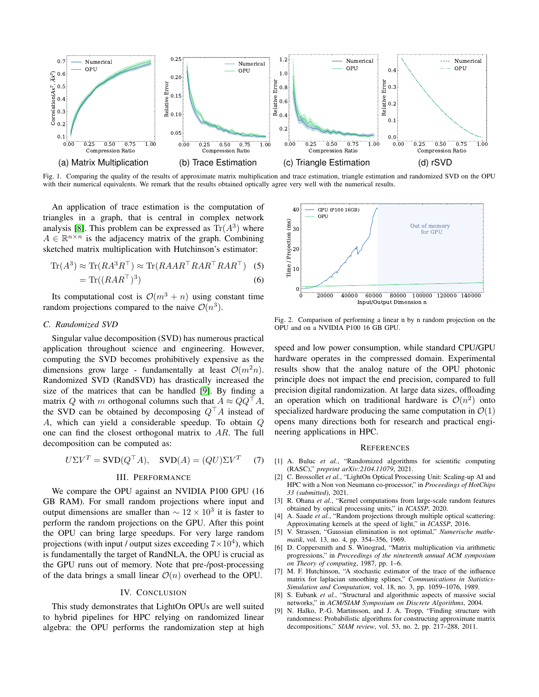

Fig. 1. Comparing the quality of the results of approximate matrix multiplication and trace estimation, triangle estimation and randomized SVD on the OPU with their numerical equivalents. We remark that the results obtained optically agree very well with the numerical results.

An application of trace estimation is the computation of triangles in a graph, that is central in complex network analysis [\[8\]](#page-1-7). This problem can be expressed as  $\text{Tr}(A^3)$  where  $A \in \mathbb{R}^{n \times n}$  is the adjacency matrix of the graph. Combining sketched matrix multiplication with Hutchinson's estimator:

$$
\text{Tr}(A^3) \approx \text{Tr}(RA^3R^{\top}) \approx \text{Tr}(RAAR^{\top}RAR^{\top}RAR^{\top}) \quad (5)
$$
  

$$
= \text{Tr}(PRAP^{\top})^3 \quad (6)
$$

$$
= \text{Tr}((RAR^{\top})^3)
$$
 (6)

Its computational cost is  $\mathcal{O}(m^3 + n)$  using constant time random projections compared to the naive  $\mathcal{O}(n^3)$ .

### *C. Randomized SVD*

Singular value decomposition (SVD) has numerous practical application throughout science and engineering. However, computing the SVD becomes prohibitively expensive as the dimensions grow large - fundamentally at least  $\mathcal{O}(m^2n)$ . Randomized SVD (RandSVD) has drastically increased the size of the matrices that can be handled [\[9\]](#page-1-8). By finding a matrix Q with m orthogonal columns such that  $A \approx QQ^{\top}A$ , the SVD can be obtained by decomposing  $Q^{\top}A$  instead of A, which can yield a considerable speedup. To obtain Q one can find the closest orthogonal matrix to AR. The full decomposition can be computed as:

$$
U\Sigma V^T = \text{SVD}(Q^\top A), \quad \text{SVD}(A) = (QU)\Sigma V^T \tag{7}
$$

## III. PERFORMANCE

We compare the OPU against an NVIDIA P100 GPU (16 GB RAM). For small random projections where input and output dimensions are smaller than  $\sim 12 \times 10^3$  it is faster to perform the random projections on the GPU. After this point the OPU can bring large speedups. For very large random projections (with input / output sizes exceeding  $7 \times 10^4$ ), which is fundamentally the target of RandNLA, the OPU is crucial as the GPU runs out of memory. Note that pre-/post-processing of the data brings a small linear  $\mathcal{O}(n)$  overhead to the OPU.

#### IV. CONCLUSION

This study demonstrates that LightOn OPUs are well suited to hybrid pipelines for HPC relying on randomized linear algebra: the OPU performs the randomization step at high



Fig. 2. Comparison of performing a linear n by n random projection on the OPU and on a NVIDIA P100 16 GB GPU.

speed and low power consumption, while standard CPU/GPU hardware operates in the compressed domain. Experimental results show that the analog nature of the OPU photonic principle does not impact the end precision, compared to full precision digital randomization. At large data sizes, offloading an operation which on traditional hardware is  $\mathcal{O}(n^2)$  onto specialized hardware producing the same computation in  $\mathcal{O}(1)$ opens many directions both for research and practical engineering applications in HPC.

#### **REFERENCES**

- <span id="page-1-0"></span>[1] A. Buluc *et al.*, "Randomized algorithms for scientific computing (RASC)," *preprint arXiv:2104.11079*, 2021.
- <span id="page-1-1"></span>[2] C. Brossollet *et al.*, "LightOn Optical Processing Unit: Scaling-up AI and HPC with a Non von Neumann co-processor," in *Proceedings of HotChips 33 (submitted)*, 2021.
- <span id="page-1-2"></span>[3] R. Ohana *et al.*, "Kernel computations from large-scale random features obtained by optical processing units," in *ICASSP*, 2020.
- <span id="page-1-3"></span>[4] A. Saade et al., "Random projections through multiple optical scattering: Approximating kernels at the speed of light," in *ICASSP*, 2016.
- <span id="page-1-4"></span>[5] V. Strassen, "Gaussian elimination is not optimal," *Numerische mathematik*, vol. 13, no. 4, pp. 354–356, 1969.
- <span id="page-1-5"></span>[6] D. Coppersmith and S. Winograd, "Matrix multiplication via arithmetic progressions," in *Proceedings of the nineteenth annual ACM symposium on Theory of computing*, 1987, pp. 1–6.
- <span id="page-1-6"></span>[7] M. F. Hutchinson, "A stochastic estimator of the trace of the influence matrix for laplacian smoothing splines," *Communications in Statistics-Simulation and Computation*, vol. 18, no. 3, pp. 1059–1076, 1989.
- <span id="page-1-7"></span>[8] S. Eubank *et al.*, "Structural and algorithmic aspects of massive social networks," in *ACM/SIAM Symposium on Discrete Algorithms*, 2004.
- <span id="page-1-8"></span>[9] N. Halko, P.-G. Martinsson, and J. A. Tropp, "Finding structure with randomness: Probabilistic algorithms for constructing approximate matrix decompositions," *SIAM review*, vol. 53, no. 2, pp. 217–288, 2011.